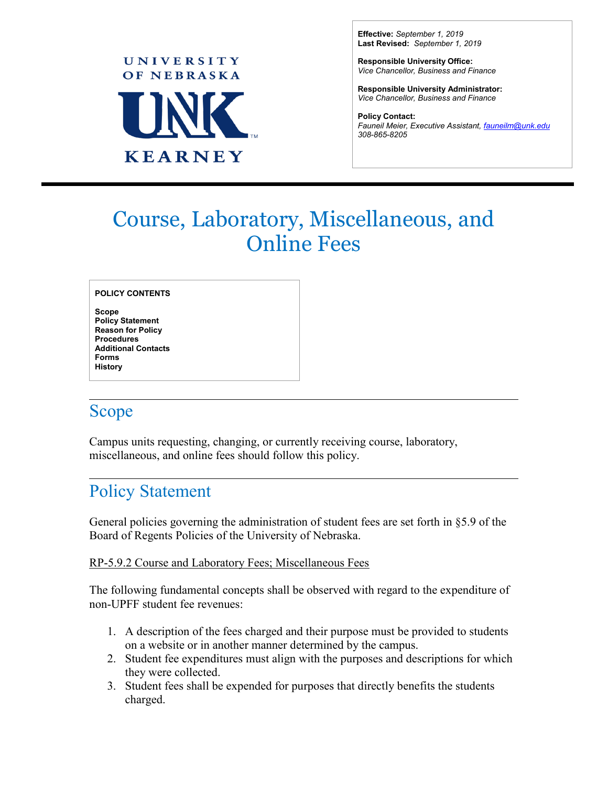

**Effective:** *September 1, 2019* **Last Revised:** *September 1, 2019*

**Responsible University Office:** *Vice Chancellor, Business and Finance*

**Responsible University Administrator:** *Vice Chancellor, Business and Finance*

**Policy Contact:** *Fauneil Meier, Executive Assistant, [fauneilm@unk.edu](mailto:fauneilm@unk.edu) 308-865-8205*

 $\overline{a}$ 

# Course, Laboratory, Miscellaneous, and Online Fees

**POLICY CONTENTS**

**Scope Policy Statement Reason for Policy Procedures Additional Contacts Forms History**

### Scope

Campus units requesting, changing, or currently receiving course, laboratory, miscellaneous, and online fees should follow this policy.

### Policy Statement

General policies governing the administration of student fees are set forth in §5.9 of the Board of Regents Policies of the University of Nebraska.

#### RP-5.9.2 Course and Laboratory Fees; Miscellaneous Fees

The following fundamental concepts shall be observed with regard to the expenditure of non-UPFF student fee revenues:

- 1. A description of the fees charged and their purpose must be provided to students on a website or in another manner determined by the campus.
- 2. Student fee expenditures must align with the purposes and descriptions for which they were collected.
- 3. Student fees shall be expended for purposes that directly benefits the students charged.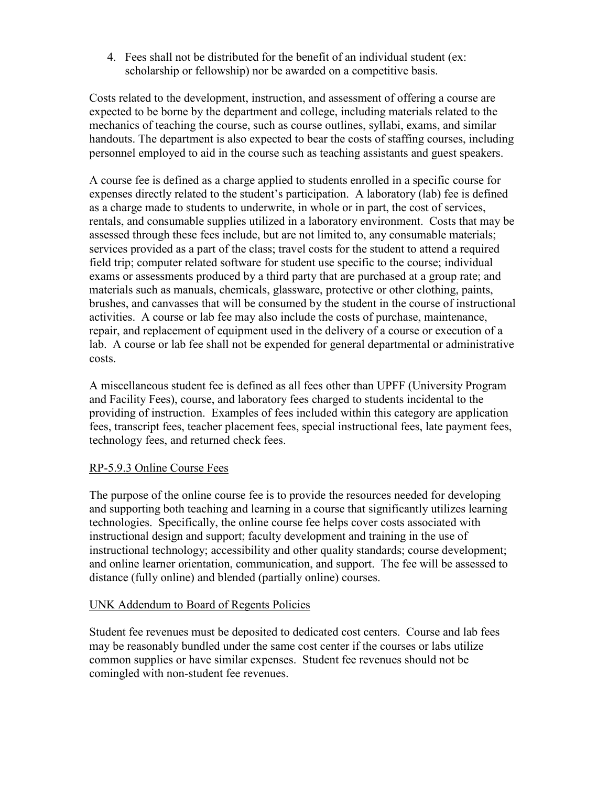4. Fees shall not be distributed for the benefit of an individual student (ex: scholarship or fellowship) nor be awarded on a competitive basis.

Costs related to the development, instruction, and assessment of offering a course are expected to be borne by the department and college, including materials related to the mechanics of teaching the course, such as course outlines, syllabi, exams, and similar handouts. The department is also expected to bear the costs of staffing courses, including personnel employed to aid in the course such as teaching assistants and guest speakers.

A course fee is defined as a charge applied to students enrolled in a specific course for expenses directly related to the student's participation. A laboratory (lab) fee is defined as a charge made to students to underwrite, in whole or in part, the cost of services, rentals, and consumable supplies utilized in a laboratory environment. Costs that may be assessed through these fees include, but are not limited to, any consumable materials; services provided as a part of the class; travel costs for the student to attend a required field trip; computer related software for student use specific to the course; individual exams or assessments produced by a third party that are purchased at a group rate; and materials such as manuals, chemicals, glassware, protective or other clothing, paints, brushes, and canvasses that will be consumed by the student in the course of instructional activities. A course or lab fee may also include the costs of purchase, maintenance, repair, and replacement of equipment used in the delivery of a course or execution of a lab. A course or lab fee shall not be expended for general departmental or administrative costs.

A miscellaneous student fee is defined as all fees other than UPFF (University Program and Facility Fees), course, and laboratory fees charged to students incidental to the providing of instruction. Examples of fees included within this category are application fees, transcript fees, teacher placement fees, special instructional fees, late payment fees, technology fees, and returned check fees.

#### RP-5.9.3 Online Course Fees

The purpose of the online course fee is to provide the resources needed for developing and supporting both teaching and learning in a course that significantly utilizes learning technologies. Specifically, the online course fee helps cover costs associated with instructional design and support; faculty development and training in the use of instructional technology; accessibility and other quality standards; course development; and online learner orientation, communication, and support. The fee will be assessed to distance (fully online) and blended (partially online) courses.

#### UNK Addendum to Board of Regents Policies

Student fee revenues must be deposited to dedicated cost centers. Course and lab fees may be reasonably bundled under the same cost center if the courses or labs utilize common supplies or have similar expenses. Student fee revenues should not be comingled with non-student fee revenues.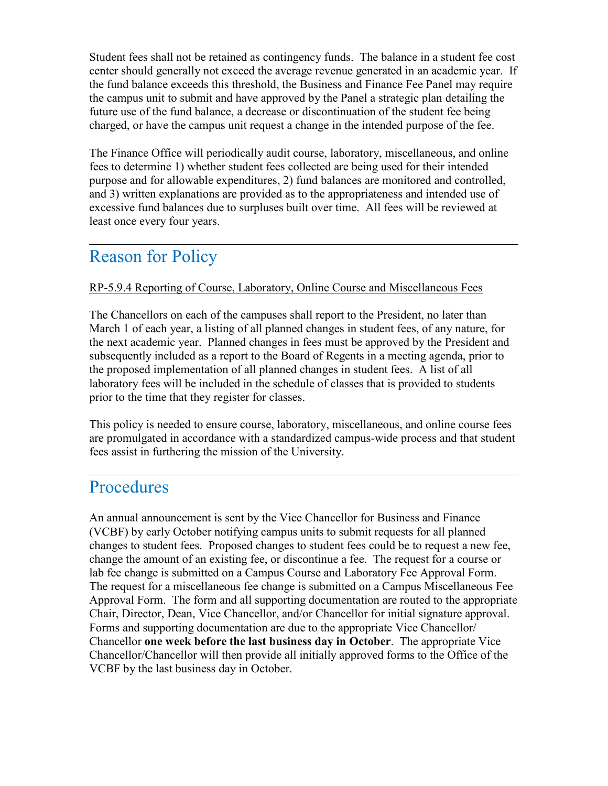Student fees shall not be retained as contingency funds. The balance in a student fee cost center should generally not exceed the average revenue generated in an academic year. If the fund balance exceeds this threshold, the Business and Finance Fee Panel may require the campus unit to submit and have approved by the Panel a strategic plan detailing the future use of the fund balance, a decrease or discontinuation of the student fee being charged, or have the campus unit request a change in the intended purpose of the fee.

The Finance Office will periodically audit course, laboratory, miscellaneous, and online fees to determine 1) whether student fees collected are being used for their intended purpose and for allowable expenditures, 2) fund balances are monitored and controlled, and 3) written explanations are provided as to the appropriateness and intended use of excessive fund balances due to surpluses built over time. All fees will be reviewed at least once every four years.

### Reason for Policy

#### RP-5.9.4 Reporting of Course, Laboratory, Online Course and Miscellaneous Fees

The Chancellors on each of the campuses shall report to the President, no later than March 1 of each year, a listing of all planned changes in student fees, of any nature, for the next academic year. Planned changes in fees must be approved by the President and subsequently included as a report to the Board of Regents in a meeting agenda, prior to the proposed implementation of all planned changes in student fees. A list of all laboratory fees will be included in the schedule of classes that is provided to students prior to the time that they register for classes.

This policy is needed to ensure course, laboratory, miscellaneous, and online course fees are promulgated in accordance with a standardized campus-wide process and that student fees assist in furthering the mission of the University.

### Procedures

An annual announcement is sent by the Vice Chancellor for Business and Finance (VCBF) by early October notifying campus units to submit requests for all planned changes to student fees. Proposed changes to student fees could be to request a new fee, change the amount of an existing fee, or discontinue a fee. The request for a course or lab fee change is submitted on a Campus Course and Laboratory Fee Approval Form. The request for a miscellaneous fee change is submitted on a Campus Miscellaneous Fee Approval Form. The form and all supporting documentation are routed to the appropriate Chair, Director, Dean, Vice Chancellor, and/or Chancellor for initial signature approval. Forms and supporting documentation are due to the appropriate Vice Chancellor/ Chancellor **one week before the last business day in October**. The appropriate Vice Chancellor/Chancellor will then provide all initially approved forms to the Office of the VCBF by the last business day in October.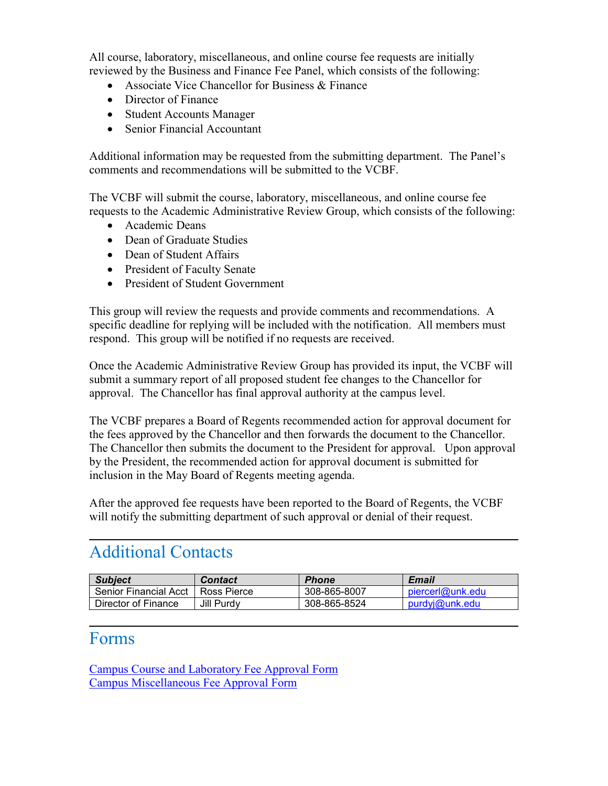All course, laboratory, miscellaneous, and online course fee requests are initially reviewed by the Business and Finance Fee Panel, which consists of the following:

- Associate Vice Chancellor for Business & Finance
- Director of Finance
- Student Accounts Manager
- Senior Financial Accountant

Additional information may be requested from the submitting department. The Panel's comments and recommendations will be submitted to the VCBF.

The VCBF will submit the course, laboratory, miscellaneous, and online course fee requests to the Academic Administrative Review Group, which consists of the following:

- Academic Deans
- Dean of Graduate Studies
- Dean of Student Affairs
- President of Faculty Senate
- President of Student Government

This group will review the requests and provide comments and recommendations. A specific deadline for replying will be included with the notification. All members must respond. This group will be notified if no requests are received.

Once the Academic Administrative Review Group has provided its input, the VCBF will submit a summary report of all proposed student fee changes to the Chancellor for approval. The Chancellor has final approval authority at the campus level.

The VCBF prepares a Board of Regents recommended action for approval document for the fees approved by the Chancellor and then forwards the document to the Chancellor. The Chancellor then submits the document to the President for approval. Upon approval by the President, the recommended action for approval document is submitted for inclusion in the May Board of Regents meeting agenda.

After the approved fee requests have been reported to the Board of Regents, the VCBF will notify the submitting department of such approval or denial of their request.

## Additional Contacts

| <b>Subject</b>                      | <b>Contact</b> | <b>Phone</b> | <b>Email</b>     |
|-------------------------------------|----------------|--------------|------------------|
| Senior Financial Acct   Ross Pierce |                | 308-865-8007 | piercerl@unk.edu |
| Director of Finance                 | Jill Purdv     | 308-865-8524 | purdvi@unk.edu   |

#### Forms

Campus Course and Laboratory [Fee Approval Form](http://www.unk.edu/about/files/course-lab-fee-form.pdf) [Campus Miscellaneous Fee Approval Form](http://www.unk.edu/about/files/miscellaneous-fee-form.pdf)